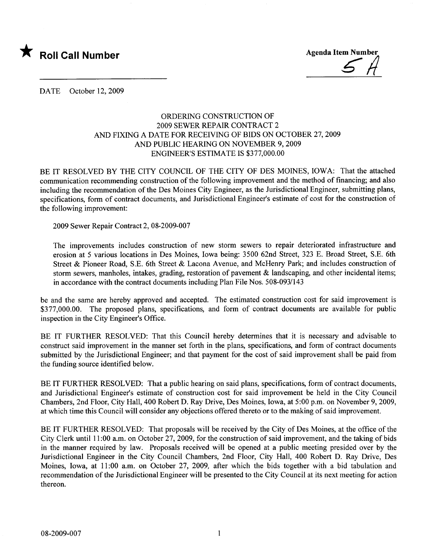

DATE October 12, 2009

## ORDERING CONSTRUCTION OF 2009 SEWER REPAIR CONTRACT 2 AND FIXING A DATE FOR RECEIVING OF BIDS ON OCTOBER 27,2009 AND PUBLIC HEARING ON NOVEMBER 9, 2009 ENGINEER'S ESTIMATE IS \$377,000.00

BE IT RESOLVED BY THE CITY COUNCIL OF THE CITY OF DES MOINES, IOWA: That the attached communication recommending construction of the following improvement and the method of financing; and also including the recommendation of the Des Moines City Engineer, as the Jurisdictional Engineer, submitting plans, specifications, form of contract documents, and Jurisdictional Engineer's estimate of cost for the construction of the following improvement:

2009 Sewer Repair Contract 2,08-2009-007

The improvements includes construction of new storm sewers to repair deteriorated infrastructure and erosion at 5 various locations in Des Moines, Iowa being: 3500 62nd Street, 323 E. Broad Street, S.E. 6th Street & Pioneer Road, S.E. 6th Street & Lacona Avenue, and McHenry Park; and includes construction of storm sewers, manholes, intakes, grading, restoration of pavement & landscaping, and other incidental items; in accordance with the contract documents including Plan File Nos. 508-093/143

be and the same are hereby approved and accepted. The estimated construction cost for said improvement is \$377,000.00. The proposed plans, specifications, and form of contract documents are available for public inspection in the City Engineer's Office.

BE IT FURTHER RESOLVED: That this Council hereby determines that it is necessary and advisable to construct said improvement in the manner set forth in the plans, specifications, and form of contract documents submitted by the Jurisdictional Engineer; and that payment for the cost of said improvement shall be paid from the funding source identified below.

BE IT FURTHER RESOLVED: That a public hearing on said plans, specifications, form of contract documents, and Jurisdictional Engineer's estimate of construction cost for said improvement be held in the City Council Chambers, 2nd Floor, City Hall, 400 Robert D. Ray Drive, Des Moines, Iowa, at 5:00 p.m. on November 9,2009, at which time this Council wil consider any objections offered thereto or to the making of said improvement.

BE IT FURTHER RESOLVED: That proposals wil be received by the City of Des Moines, at the office of the City Clerk until 11 :00 a.m. on October 27, 2009, for the construction of said improvement, and the taking of bids in the manner required by law. Proposals received will be opened at a public meeting presided over by the Jurisdictional Engineer in the City Council Chambers, 2nd Floor, City Hall, 400 Robert D. Ray Drive, Des Moines, Iowa, at 11:00 a.m. on October 27, 2009, after which the bids together with a bid tabulation and recommendation of the Jurisdictional Engineer will be presented to the City Council at its next meeting for action thereon.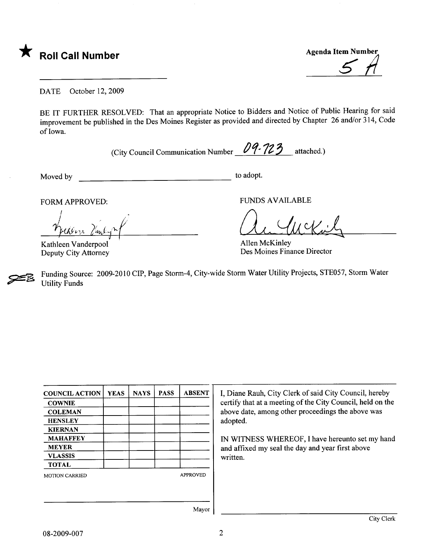

<u>5  $\pi$ </u>

DATE October 12, 2009

BE IT FURTHER RESOLVED: That an appropriate Notice to Bidders and Notice of Public Hearing for said improvement be published in the Des Moines Register as provided and directed by Chapter 26 and/or 314, Code of Iowa.

(City Council Communication Number  $09 - 123$  attached.)

Moved by to adopt.

FORM APPROVED: FUNDS AVAILABLE

 $M$  APPROVED: <u>1 pendezie Candy</u>

Kathleen Vanderpool ' Deputy City Attorney

A Allen McKinley

Des Moines Finance Director

~ Funding Source: 2009-2010 CIP, Page Storm-4, City-wide Storm Water Utility Projects, STE057, Storm Water **Utility Funds** 

| <b>COUNCIL ACTION</b> | <b>YEAS</b> | <b>NAYS</b> | <b>PASS</b> | <b>ABSENT</b>   |
|-----------------------|-------------|-------------|-------------|-----------------|
| <b>COWNIE</b>         |             |             |             |                 |
| <b>COLEMAN</b>        |             |             |             |                 |
| <b>HENSLEY</b>        |             |             |             |                 |
| <b>KIERNAN</b>        |             |             |             |                 |
| <b>MAHAFFEY</b>       |             |             |             |                 |
| <b>MEYER</b>          |             |             |             |                 |
| <b>VLASSIS</b>        |             |             |             |                 |
| <b>TOTAL</b>          |             |             |             |                 |
| <b>MOTION CARRIED</b> |             |             |             | <b>APPROVED</b> |
|                       |             |             |             |                 |
|                       |             |             |             | $M$ ariar       |

I, Diane Rauh, City Clerk of said City Council, hereby certify that at a meeting of the City Council, held on the above date, among other proceedings the above was adopted.

IN WITNESS WHEREOF, I have hereunto set my hand and affixed my seal the day and year first above written.

Mayor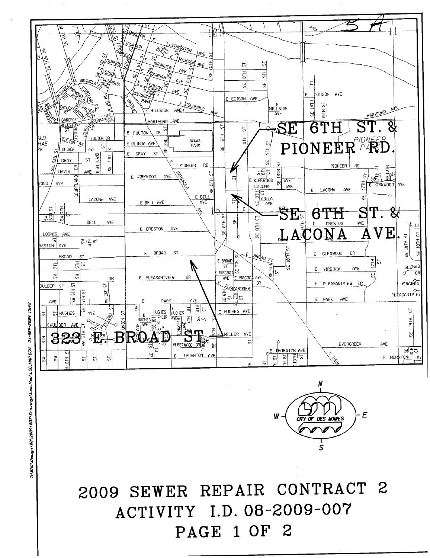## 2009 SEWER REPAIR CONTRACT 2 ACTIVITY I.D. 08-2009-007 PAGE 1 OF 2



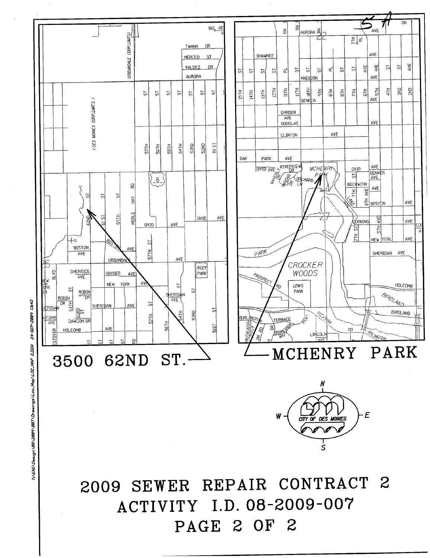

24-SEP-2009 13:42 TIVENO VOOS AGALOO JA GETTAGA VARIT 1997 VOO VESSEN ON JA 2.00N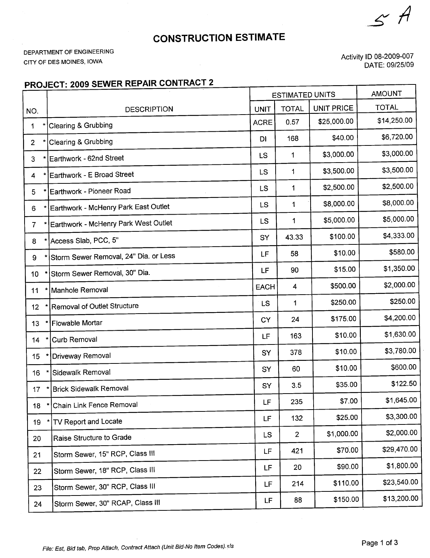$\sim$  H

## CONSTRUCTION ESTIMATE

DEPARTMENT OF ENGINEERING CITY OF DES MOINES, IOWA

Activity ID 08-2009-007 DATE: 09/25/09

## PROJECT: 2009 SEWER REPAIR CONTRACT 2

|                 |                                                | <b>ESTIMATED UNITS</b> |                | <b>AMOUNT</b>     |              |
|-----------------|------------------------------------------------|------------------------|----------------|-------------------|--------------|
| NO.             | <b>DESCRIPTION</b>                             | <b>UNIT</b>            | <b>TOTAL</b>   | <b>UNIT PRICE</b> | <b>TOTAL</b> |
| $\mathbf{1}$    | <b>Clearing &amp; Grubbing</b>                 | <b>ACRE</b>            | 0.57           | \$25,000.00       | \$14,250.00  |
| $\overline{2}$  | Clearing & Grubbing                            | DI                     | 168            | \$40.00           | \$6,720.00   |
| 3               | Earthwork - 62nd Street                        | <b>LS</b>              | 1              | \$3,000.00        | \$3,000.00   |
| ÷,<br>4         | Earthwork - E Broad Street                     | <b>LS</b>              | 1              | \$3,500.00        | \$3,500.00   |
| 5               | Earthwork - Pioneer Road                       | <b>LS</b>              | 1              | \$2,500.00        | \$2,500.00   |
| 6               | Earthwork - McHenry Park East Outlet           | LS                     | 1              | \$8,000.00        | \$8,000.00   |
| $\overline{7}$  | Earthwork - McHenry Park West Outlet           | LS                     | 1              | \$5,000.00        | \$5,000.00   |
| 8               | Access Slab, PCC, 5"                           | SY                     | 43.33          | \$100.00          | \$4,333.00   |
| 9               | Storm Sewer Removal, 24" Dia. or Less          | LF                     | 58             | \$10.00           | \$580.00     |
| 10              | Storm Sewer Removal, 30" Dia.                  | LF                     | 90             | \$15.00           | \$1,350.00   |
| 11              | Manhole Removal                                | <b>EACH</b>            | 4              | \$500.00          | \$2,000.00   |
| 12 <sub>2</sub> | Removal of Outlet Structure                    | <b>LS</b>              | 1              | \$250.00          | \$250.00     |
| 13              | <b>Flowable Mortar</b>                         | <b>CY</b>              | 24             | \$175.00          | \$4,200.00   |
| 14              | Curb Removal                                   | LF                     | 163            | \$10.00           | \$1,630.00   |
| 15              | <b>Driveway Removal</b>                        | SY                     | 378            | \$10.00           | \$3,780.00   |
| 16              | Sidewalk Removal                               | SY                     | 60             | \$10.00           | \$600.00     |
| 17              | <b>Brick Sidewalk Removal</b><br>$\mathcal{R}$ | SY                     | 3.5            | \$35.00           | \$122.50     |
|                 | 18 * Chain Link Fence Removal                  | LF                     | 235            | \$7.00            | \$1,645.00   |
| 19              | TV Report and Locate                           | <b>LF</b>              | 132            | \$25.00           | \$3,300.00   |
| 20              | Raise Structure to Grade                       | <b>LS</b>              | $\overline{2}$ | \$1,000.00        | \$2,000.00   |
| 21              | Storm Sewer, 15" RCP, Class III                | LF.                    | 421            | \$70.00           | \$29,470.00  |
| 22              | Storm Sewer, 18" RCP, Class III                | <b>LF</b>              | 20             | \$90.00           | \$1,800.00   |
| 23              | Storm Sewer, 30" RCP, Class III                | LF                     | 214            | \$110.00          | \$23,540.00  |
| 24              | Storm Sewer, 30" RCAP, Class III               | LF.                    | 88             | \$150.00          | \$13,200.00  |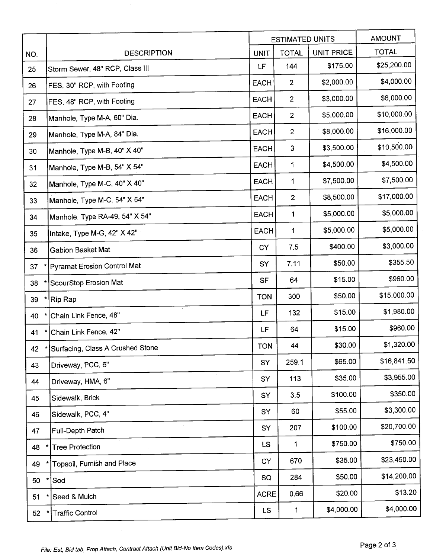|     |                                    |             | <b>ESTIMATED UNITS</b> |                   | <b>AMOUNT</b> |
|-----|------------------------------------|-------------|------------------------|-------------------|---------------|
| NO. | <b>DESCRIPTION</b>                 | <b>UNIT</b> | <b>TOTAL</b>           | <b>UNIT PRICE</b> | <b>TOTAL</b>  |
| 25  | Storm Sewer, 48" RCP, Class III    | LF          | 144                    | \$175.00          | \$25,200.00   |
| 26  | FES, 30" RCP, with Footing         | <b>EACH</b> | $\overline{2}$         | \$2,000.00        | \$4,000.00    |
| 27  | FES, 48" RCP, with Footing         | <b>EACH</b> | $\overline{2}$         | \$3,000.00        | \$6,000.00    |
| 28  | Manhole, Type M-A, 60" Dia.        | <b>EACH</b> | $\overline{2}$         | \$5,000.00        | \$10,000.00   |
| 29  | Manhole, Type M-A, 84" Dia.        | <b>EACH</b> | $\overline{2}$         | \$8,000.00        | \$16,000.00   |
| 30  | Manhole, Type M-B, 40" X 40"       | <b>EACH</b> | $\mathbf{3}$           | \$3,500.00        | \$10,500.00   |
| 31  | Manhole, Type M-B, 54" X 54"       | <b>EACH</b> | 1                      | \$4,500.00        | \$4,500.00    |
| 32  | Manhole, Type M-C, 40" X 40"       | <b>EACH</b> | 1                      | \$7,500.00        | \$7,500.00    |
| 33  | Manhole, Type M-C, 54" X 54"       | <b>EACH</b> | $\overline{2}$         | \$8,500.00        | \$17,000.00   |
| 34  | Manhole, Type RA-49, 54" X 54"     | EACH        | 1                      | \$5,000.00        | \$5,000.00    |
| 35  | Intake, Type M-G, 42" X 42"        | <b>EACH</b> | 1                      | \$5,000.00        | \$5,000.00    |
| 36  | Gabion Basket Mat                  | <b>CY</b>   | 7.5                    | \$400.00          | \$3,000.00    |
| 37  | <b>Pyramat Erosion Control Mat</b> | SY          | 7.11                   | \$50.00           | \$355.50      |
| 38  | ScourStop Erosion Mat              | <b>SF</b>   | 64                     | \$15.00           | \$960.00      |
| 39  | Rip Rap                            | <b>TON</b>  | 300                    | \$50.00           | \$15,000.00   |
| 40  | Chain Link Fence, 48"              | LF          | 132                    | \$15.00           | \$1,980.00    |
| 41  | Chain Link Fence, 42"              | LF          | 64                     | \$15.00           | \$960.00      |
| 42  | Surfacing, Class A Crushed Stone   | <b>TON</b>  | 44                     | \$30.00           | \$1,320.00    |
| 43  | Driveway, PCC, 6"                  | SY          | 259.1                  | \$65.00           | \$16,841.50   |
| 44  | Driveway, HMA, 6"                  | SY          | 113                    | \$35.00           | \$3,955.00    |
| 45  | Sidewalk, Brick                    | SY          | 3.5                    | \$100.00          | \$350.00      |
| 46  | Sidewalk, PCC, 4"                  | SY          | 60                     | \$55.00           | \$3,300.00    |
| 47  | Full-Depth Patch                   | SY          | 207                    | \$100.00          | \$20,700.00   |
| 48  | <b>Tree Protection</b>             | LS          | 1                      | \$750.00          | \$750.00      |
| 49  | Topsoil, Furnish and Place         | <b>CY</b>   | 670                    | \$35.00           | \$23,450.00   |
| 50  | $\ast$<br>Sod                      | SQ          | 284                    | \$50.00           | \$14,200.00   |
| 51  | Seed & Mulch                       | <b>ACRE</b> | 0.66                   | \$20.00           | \$13.20       |
| 52  | <b>Traffic Control</b>             | LS.         | 1                      | \$4,000.00        | \$4,000.00    |